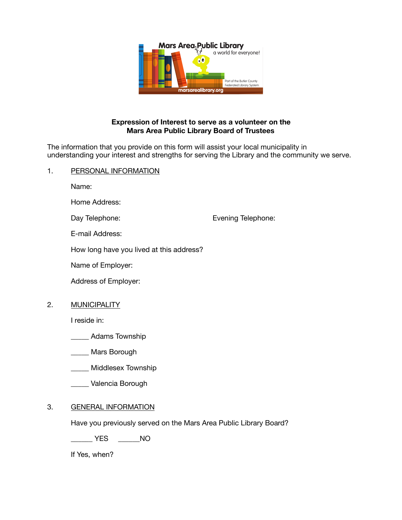

## **Expression of Interest to serve as a volunteer on the Mars Area Public Library Board of Trustees**

The information that you provide on this form will assist your local municipality in understanding your interest and strengths for serving the Library and the community we serve.

## 1. PERSONAL INFORMATION

Name:

Home Address:

Day Telephone: **Day Telephone: COVERTY** Evening Telephone:

E-mail Address:

How long have you lived at this address?

Name of Employer:

Address of Employer:

2. MUNICIPALITY

I reside in:

\_\_\_\_\_ Adams Township

\_\_\_\_\_ Mars Borough

\_\_\_\_\_ Middlesex Township

\_\_\_\_\_ Valencia Borough

## 3. GENERAL INFORMATION

Have you previously served on the Mars Area Public Library Board?

\_\_\_\_\_\_ YES \_\_\_\_\_\_NO

If Yes, when?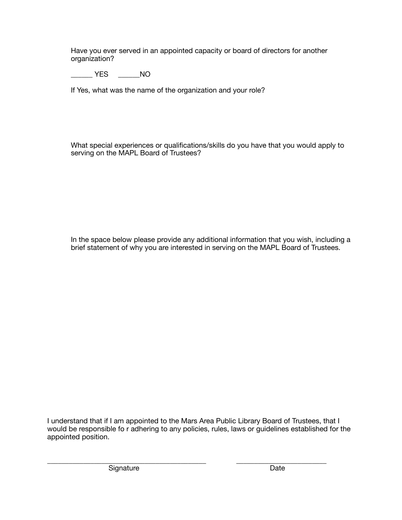Have you ever served in an appointed capacity or board of directors for another organization?

\_\_\_\_\_\_ YES \_\_\_\_\_\_NO

If Yes, what was the name of the organization and your role?

What special experiences or qualifications/skills do you have that you would apply to serving on the MAPL Board of Trustees?

In the space below please provide any additional information that you wish, including a brief statement of why you are interested in serving on the MAPL Board of Trustees.

I understand that if I am appointed to the Mars Area Public Library Board of Trustees, that I would be responsible fo r adhering to any policies, rules, laws or guidelines established for the appointed position.

Signature **Date Date Date**